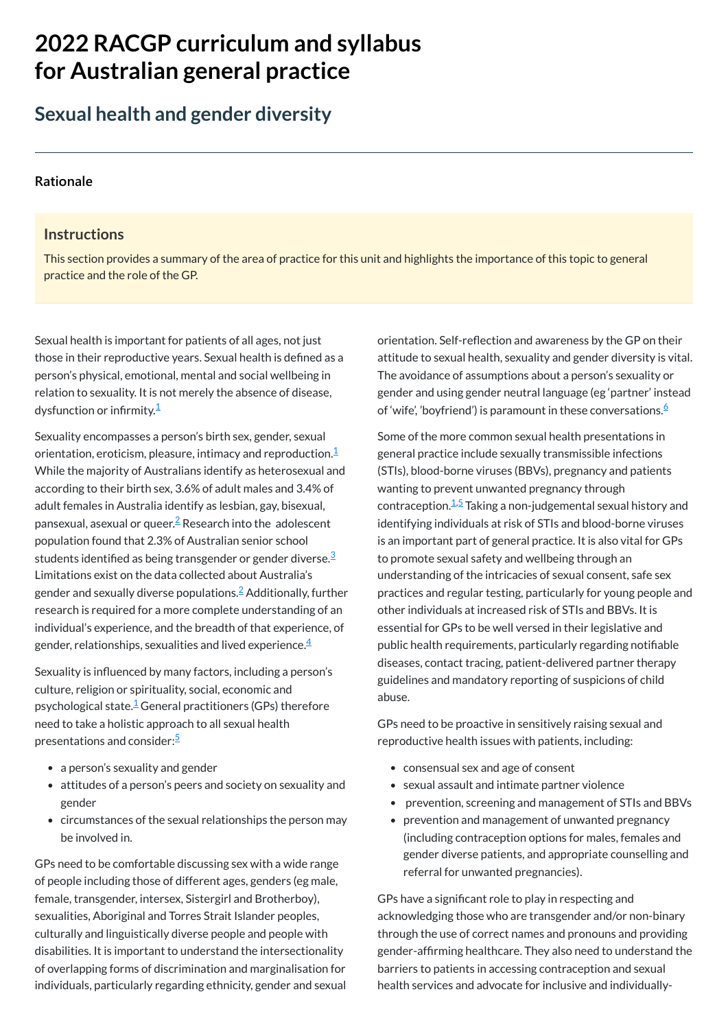# **2022 RACGP curriculum and syllabus for Australian [general practice](https://www.racgp.org.au/Curriculum-and-Syllabus/home)**

# **Sexual health and gender diversity**

#### **[Rationale](javascript:void(0))**

#### **Instructions**

Sexual health is important for patients of all ages, not just those in their reproductive years. Sexual health is defined as a person's physical, emotional, mental and social wellbeing in relation to sexuality. It is not merely the absence of disease, dysfunction or infirmity.<sup>[1](#page-1-0)</sup>

This section provides a summary of the area of practice for this unit and highlights the importance of this topic to general practice and the role of the GP.

Sexuality encompasses a person's birth sex, gender, sexual orientation, eroticism, pleasure, intimacy and reproduction. $\bar{1}$  $\bar{1}$  $\bar{1}$ While the majority of Australians identify as heterosexual and according to their birth sex, 3.6% of adult males and 3.4% of adult females in Australia identify as lesbian, gay, bisexual, pansexual, asexual or queer. $\frac{2}{5}$  $\frac{2}{5}$  $\frac{2}{5}$  Research into the adolescent population found that 2.3% of Australian senior school students identified as being transgender or gender diverse. $^{\underline{3}}$  $^{\underline{3}}$  $^{\underline{3}}$ Limitations exist on the data collected about Australia's gender and sexually diverse populations. $^{2}$  $^{2}$  $^{2}$  Additionally, further research is required for a more complete understanding of an individual's experience, and the breadth of that experience, of gender, relationships, sexualities and lived experience. $\frac{4}{3}$  $\frac{4}{3}$  $\frac{4}{3}$ 

Sexuality is influenced by many factors, including a person's culture, religion or spirituality, social, economic and psychological state.<sup>[1](#page-1-0)</sup> General practitioners (GPs) therefore need to take a holistic approach to all sexual health presentations and consider:<sup>[5](#page-1-4)</sup>

• a person's sexuality and gender

orientation. Self-reflection and awareness by the GP on their attitude to sexual health, sexuality and gender diversity is vital. The avoidance of assumptions about a person's sexuality or gender and using gender neutral language (eg 'partner' instead of 'wife', 'boyfriend') is paramount in these conversations.<sup>[6](#page-1-5)</sup>

- sexual assault and intimate partner violence
- prevention, screening and management of STIs and BBVs
- prevention and management of unwanted pregnancy (including contraception options for males, females and gender diverse patients, and appropriate counselling and referral for unwanted pregnancies).

GPs need to be comfortable discussing sex with a wide range of people including those of different ages, genders (eg male, female, transgender, intersex, Sistergirl and Brotherboy), sexualities, Aboriginal and Torres Strait Islander peoples, culturally and linguistically diverse people and people with disabilities. It is important to understand the intersectionality of overlapping forms of discrimination and marginalisation for individuals, particularly regarding ethnicity, gender and sexual

- consensual sex and age of consent
- attitudes of a person's peers and society on sexuality and gender
- circumstances of the sexual relationships the person may be involved in.

Some of the more common sexual health presentations in general practice include sexually transmissible infections (STIs), blood-borne viruses (BBVs), pregnancy and patients wanting to prevent unwanted pregnancy through contraception.<sup>[1](#page-1-0)[,5](#page-1-4)</sup> Taking a non-judgemental sexual history and identifying individuals at risk of STIs and blood-borne viruses is an important part of general practice. It is also vital for GPs to promote sexual safety and wellbeing through an understanding of the intricacies of sexual consent, safe sex practices and regular testing, particularly for young people and other individuals at increased risk of STIs and BBVs. It is essential for GPs to be well versed in their legislative and public health requirements, particularly regarding notifiable diseases, contact tracing, patient-delivered partner therapy guidelines and mandatory reporting of suspicions of child abuse.

GPs need to be proactive in sensitively raising sexual and reproductive health issues with patients, including:

GPs have a significant role to play in respecting and acknowledging those who are transgender and/or non-binary through the use of correct names and pronouns and providing gender-affirming healthcare. They also need to understand the barriers to patients in accessing contraception and sexual health services and advocate for inclusive and individually-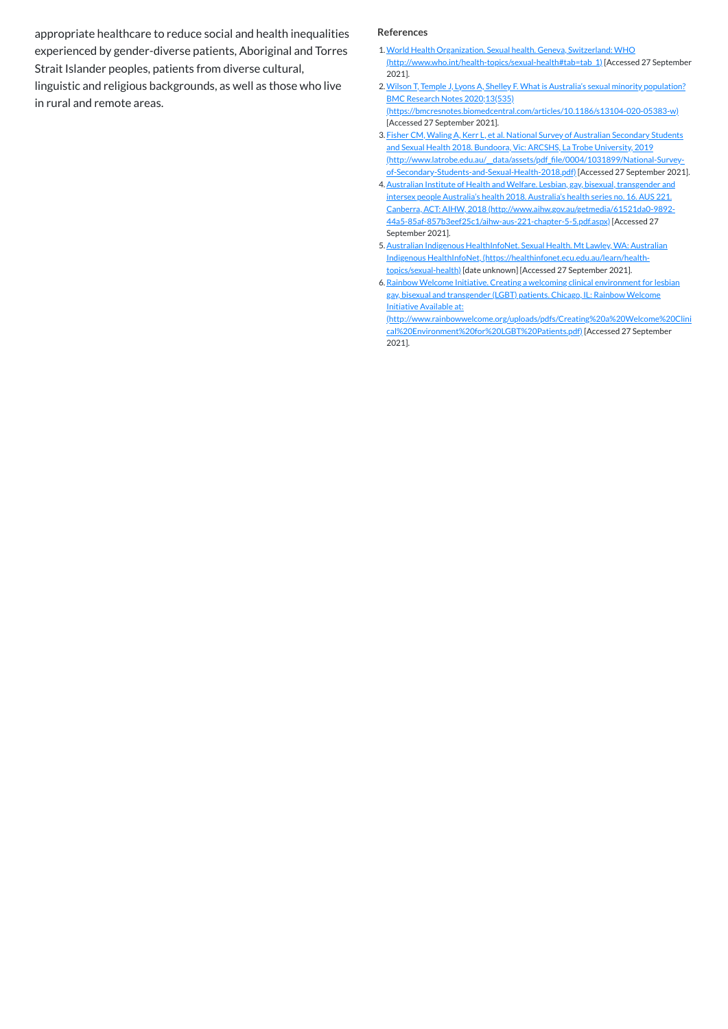appropriate healthcare to reduce social and health inequalities experienced by gender-diverse patients, Aboriginal and Torres Strait Islander peoples, patients from diverse cultural, linguistic and religious backgrounds, as well as those who live in rural and remote areas.

- <span id="page-1-0"></span>1.World Health Organization. Sexual health. Geneva, Switzerland: WHO [\(http://www.who.int/health-topics/sexual-health#tab=tab\\_1\)](http://www.who.int/health-topics/sexual-health#tab=tab_1) [Accessed 27 September 2021].
- <span id="page-1-1"></span>2. Wilson T, Temple J, Lyons A, Shelley F. What is Australia's sexual minority population? BMC Research Notes 2020;13(535) [\(https://bmcresnotes.biomedcentral.com/articles/10.1186/s13104-020-05383-w\)](https://bmcresnotes.biomedcentral.com/articles/10.1186/s13104-020-05383-w) [Accessed 27 September 2021].
- <span id="page-1-2"></span>3. Fisher CM, Waling A, Kerr L, et al. National Survey of Australian Secondary Students and Sexual Health 2018. Bundoora, Vic: ARCSHS, La Trobe University, 2019 [\(http://www.latrobe.edu.au/\\_\\_data/assets/pdf\\_file/0004/1031899/National-Survey](http://www.latrobe.edu.au/__data/assets/pdf_file/0004/1031899/National-Survey-of-Secondary-Students-and-Sexual-Health-2018.pdf)of-Secondary-Students-and-Sexual-Health-2018.pdf) [Accessed 27 September 2021].
- <span id="page-1-3"></span>4. Australian Institute of Health and Welfare. Lesbian, gay, bisexual, transgender and intersex people Australia's health 2018. Australia's health series no. 16. AUS 221. Canberra, ACT: AIHW, 2018 (http://www.aihw.gov.au/getmedia/61521da0-9892- [44a5-85af-857b3eef25c1/aihw-aus-221-chapter-5-5.pdf.aspx\)](http://www.aihw.gov.au/getmedia/61521da0-9892-44a5-85af-857b3eef25c1/aihw-aus-221-chapter-5-5.pdf.aspx) [Accessed 27 September 2021].
- <span id="page-1-4"></span>5.Australian Indigenous HealthInfoNet. Sexual Health. Mt Lawley, WA: Australian Indigenous HealthInfoNet, [\(https://healthinfonet.ecu.edu.au/learn/health](https://healthinfonet.ecu.edu.au/learn/health-topics/sexual-health)topics/sexual-health) [date unknown] [Accessed 27 September 2021].
- <span id="page-1-5"></span>6. Rainbow Welcome Initiative. Creating a welcoming clinical environment for lesbian gay, bisexual and transgender (LGBT) patients. Chicago, IL: Rainbow Welcome **Initiative Available at:**

#### **References**

[\(http://www.rainbowwelcome.org/uploads/pdfs/Creating%20a%20Welcome%20Clini](http://www.rainbowwelcome.org/uploads/pdfs/Creating%20a%20Welcome%20Clinical%20Environment%20for%20LGBT%20Patients.pdf) cal%20Environment%20for%20LGBT%20Patients.pdf) [Accessed 27 September 2021].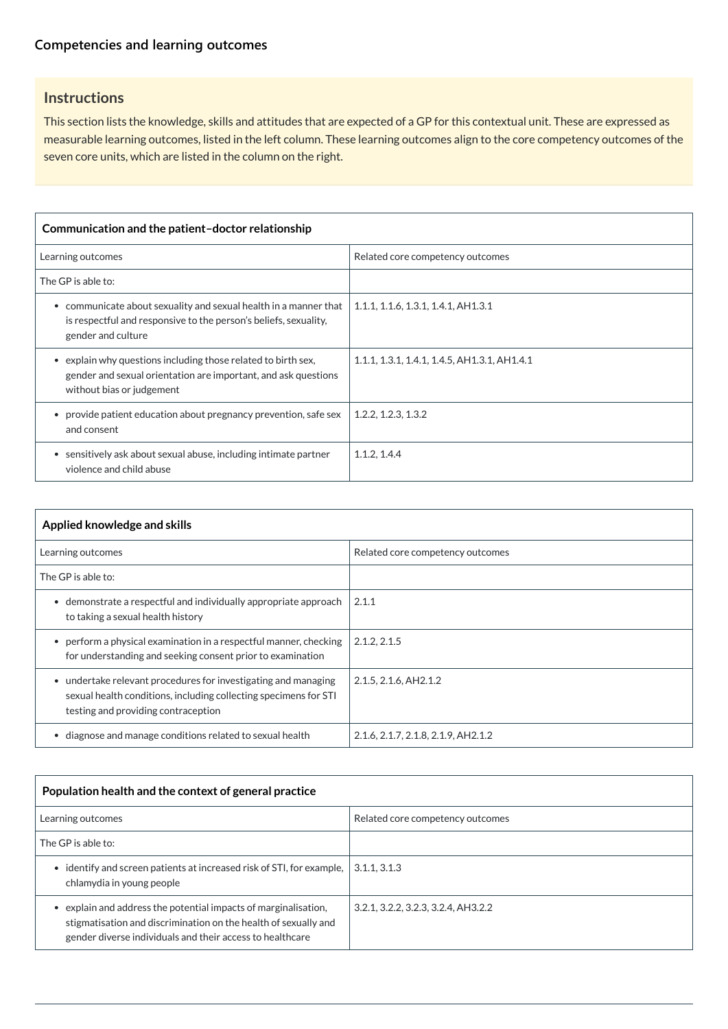# **[Competencies and learning outcomes](javascript:void(0))**

# **Instructions**

This section lists the knowledge, skills and attitudes that are expected of a GP for this contextual unit. These are expressed as measurable learning outcomes, listed in the left column. These learning outcomes align to the core competency outcomes of the seven core units, which are listed in the column on the right.

| Communication and the patient-doctor relationship                                                                                                                       |                                              |  |
|-------------------------------------------------------------------------------------------------------------------------------------------------------------------------|----------------------------------------------|--|
| Learning outcomes                                                                                                                                                       | Related core competency outcomes             |  |
| The GP is able to:                                                                                                                                                      |                                              |  |
| communicate about sexuality and sexual health in a manner that<br>is respectful and responsive to the person's beliefs, sexuality,<br>gender and culture                | 1.1.1, 1.1.6, 1.3.1, 1.4.1, AH1.3.1          |  |
| explain why questions including those related to birth sex,<br>$\bullet$<br>gender and sexual orientation are important, and ask questions<br>without bias or judgement | 1.1.1, 1.3.1, 1.4.1, 1.4.5, AH1.3.1, AH1.4.1 |  |
| • provide patient education about pregnancy prevention, safe sex<br>and consent                                                                                         | 1.2.2, 1.2.3, 1.3.2                          |  |
| sensitively ask about sexual abuse, including intimate partner<br>$\bullet$<br>violence and child abuse                                                                 | 1.1.2, 1.4.4                                 |  |

| Applied knowledge and skills                                                                                                                                            |                                     |  |
|-------------------------------------------------------------------------------------------------------------------------------------------------------------------------|-------------------------------------|--|
| Learning outcomes                                                                                                                                                       | Related core competency outcomes    |  |
| The GP is able to:                                                                                                                                                      |                                     |  |
| demonstrate a respectful and individually appropriate approach<br>$\bullet$<br>to taking a sexual health history                                                        | 2.1.1                               |  |
| perform a physical examination in a respectful manner, checking<br>for understanding and seeking consent prior to examination                                           | 2.1.2, 2.1.5                        |  |
| undertake relevant procedures for investigating and managing<br>sexual health conditions, including collecting specimens for STI<br>testing and providing contraception | 2.1.5, 2.1.6, AH2.1.2               |  |
| diagnose and manage conditions related to sexual health                                                                                                                 | 2.1.6, 2.1.7, 2.1.8, 2.1.9, AH2.1.2 |  |

# **Population health and the context of general practice**

| Learning outcomes                                                                                                                                                                             | Related core competency outcomes    |
|-----------------------------------------------------------------------------------------------------------------------------------------------------------------------------------------------|-------------------------------------|
| The GP is able to:                                                                                                                                                                            |                                     |
| identify and screen patients at increased risk of STI, for example,<br>chlamydia in young people                                                                                              | 3.1.1, 3.1.3                        |
| explain and address the potential impacts of marginalisation,<br>stigmatisation and discrimination on the health of sexually and<br>gender diverse individuals and their access to healthcare | 3.2.1, 3.2.2, 3.2.3, 3.2.4, AH3.2.2 |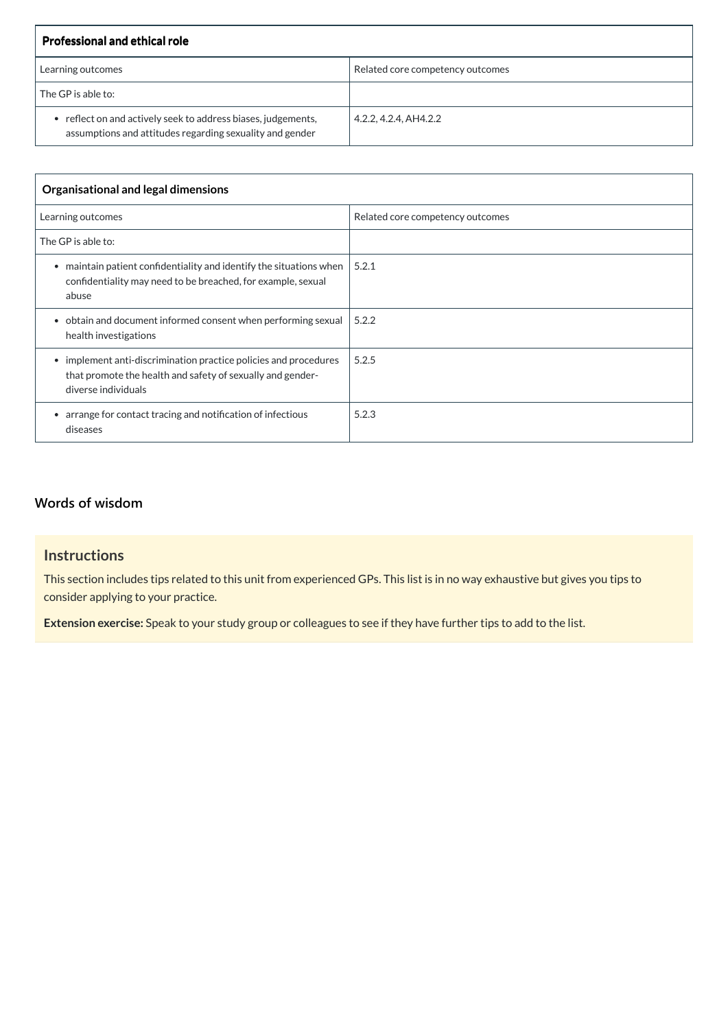| <b>Professional and ethical role</b>                                                                                      |                                  |
|---------------------------------------------------------------------------------------------------------------------------|----------------------------------|
| Learning outcomes                                                                                                         | Related core competency outcomes |
| The GP is able to:                                                                                                        |                                  |
| • reflect on and actively seek to address biases, judgements,<br>assumptions and attitudes regarding sexuality and gender | 4.2.2, 4.2.4, AH4.2.2            |

| Organisational and legal dimensions                                                                                                                     |                                  |  |
|---------------------------------------------------------------------------------------------------------------------------------------------------------|----------------------------------|--|
| Learning outcomes                                                                                                                                       | Related core competency outcomes |  |
| The GP is able to:                                                                                                                                      |                                  |  |
| maintain patient confidentiality and identify the situations when<br>$\bullet$<br>confidentiality may need to be breached, for example, sexual<br>abuse | 5.2.1                            |  |
| obtain and document informed consent when performing sexual<br>$\bullet$<br>health investigations                                                       | 5.2.2                            |  |
| • implement anti-discrimination practice policies and procedures<br>that promote the health and safety of sexually and gender-<br>diverse individuals   | 5.2.5                            |  |
| • arrange for contact tracing and notification of infectious<br>diseases                                                                                | 5.2.3                            |  |

# **[Words of wisdom](javascript:void(0))**

# **Instructions**

This section includes tips related to this unit from experienced GPs. This list is in no way exhaustive but gives you tips to consider applying to your practice.

**Extension exercise:** Speak to your study group or colleagues to see if they have further tips to add to the list.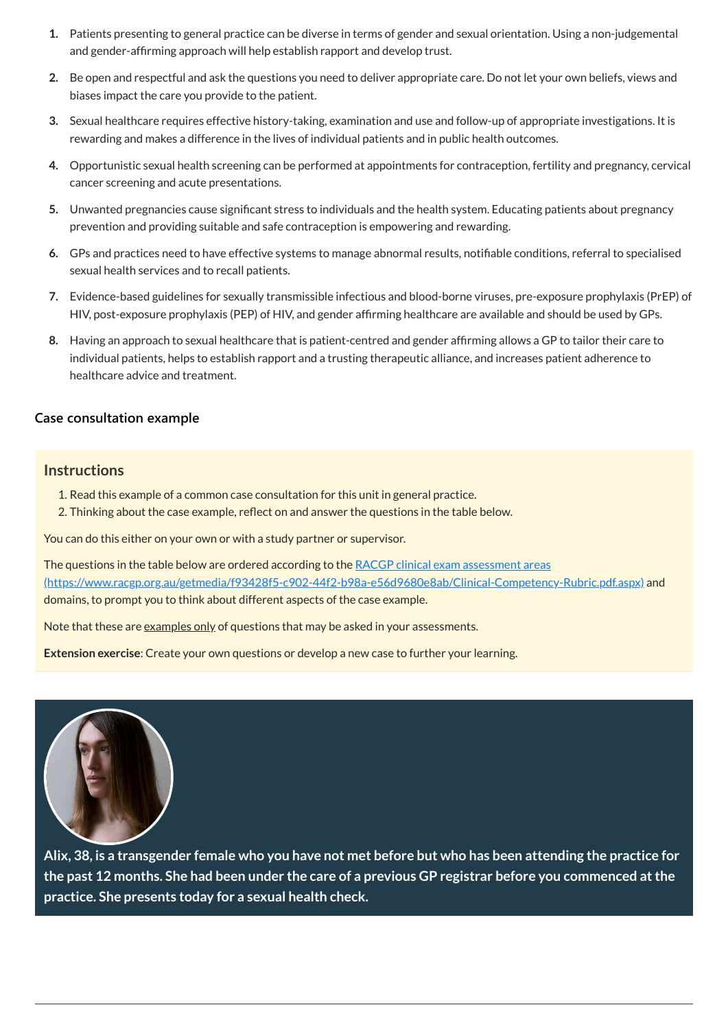- **1.** Patients presenting to general practice can be diverse in terms of gender and sexual orientation. Using a non-judgemental and gender-affirming approach will help establish rapport and develop trust.
- **2.** Be open and respectful and ask the questions you need to deliver appropriate care. Do not let your own beliefs, views and biases impact the care you provide to the patient.
- **3.** Sexual healthcare requires effective history-taking, examination and use and follow-up of appropriate investigations. It is rewarding and makes a difference in the lives of individual patients and in public health outcomes.
- **4.** Opportunistic sexual health screening can be performed at appointments for contraception, fertility and pregnancy, cervical cancer screening and acute presentations.
- **5.** Unwanted pregnancies cause significant stress to individuals and the health system. Educating patients about pregnancy prevention and providing suitable and safe contraception is empowering and rewarding.
- **6.** GPs and practices need to have effective systems to manage abnormal results, notifiable conditions, referral to specialised sexual health services and to recall patients.
- **7.** Evidence-based guidelines for sexually transmissible infectious and blood-borne viruses, pre-exposure prophylaxis (PrEP) of HIV, post-exposure prophylaxis (PEP) of HIV, and gender affirming healthcare are available and should be used by GPs.
- **8.** Having an approach to sexual healthcare that is patient-centred and gender affirming allows a GP to tailor their care to individual patients, helps to establish rapport and a trusting therapeutic alliance, and increases patient adherence to healthcare advice and treatment.

The questions in the table below are ordered according to the RACGP clinical exam assessment areas [\(https://www.racgp.org.au/getmedia/f93428f5-c902-44f2-b98a-e56d9680e8ab/Clinical-Competency-Rubric.pdf.aspx\)](https://www.racgp.org.au/getmedia/f93428f5-c902-44f2-b98a-e56d9680e8ab/Clinical-Competency-Rubric.pdf.aspx) and domains, to prompt you to think about different aspects of the case example.

Note that these are examples only of questions that may be asked in your assessments.

Alix, 38, is a transgender female who you have not met before but who has been attending the practice for **the past 12 months. She had been under the care of a previous GP registrar before you commenced atthe practice. She presents today for a sexual health check.**

### **[Case consultation example](javascript:void(0))**

#### **Instructions**

- 1. Read this example of a common case consultation for this unit in general practice.
- 2. Thinking about the case example, reflect on and answer the questions in the table below.

You can do this either on your own or with a study partner or supervisor.

**Extension exercise**: Create your own questions or develop a new case to further your learning.

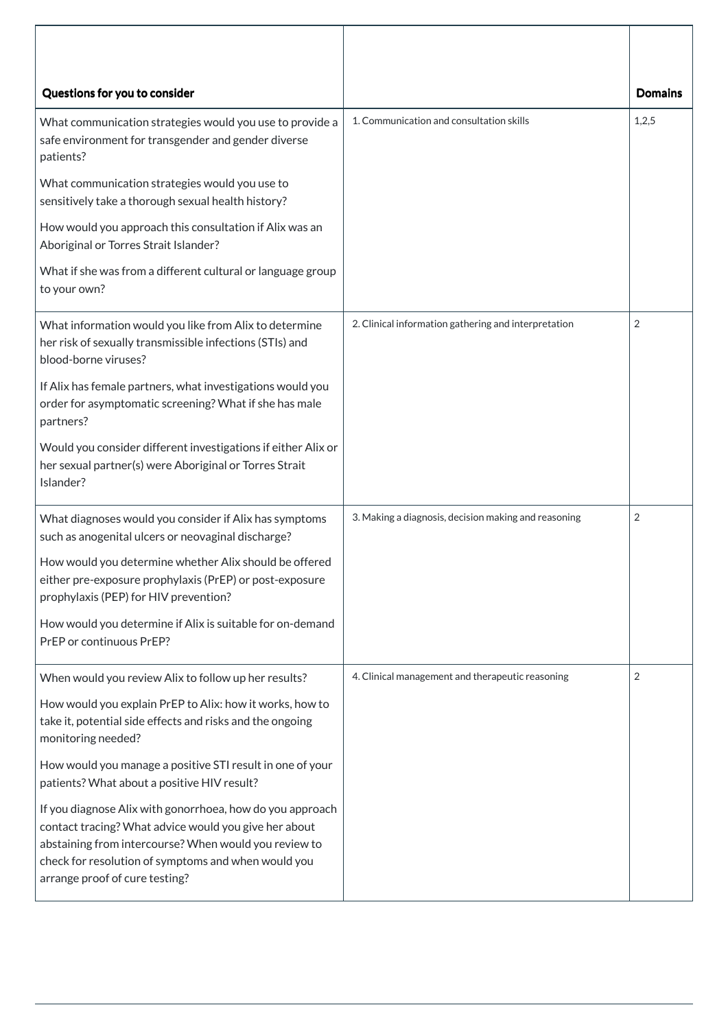| Questions for you to consider                                                                                                                              |                                                      | <b>Domains</b> |
|------------------------------------------------------------------------------------------------------------------------------------------------------------|------------------------------------------------------|----------------|
| What communication strategies would you use to provide a<br>safe environment for transgender and gender diverse<br>patients?                               | 1. Communication and consultation skills             | 1,2,5          |
| What communication strategies would you use to<br>sensitively take a thorough sexual health history?                                                       |                                                      |                |
| How would you approach this consultation if Alix was an<br>Aboriginal or Torres Strait Islander?                                                           |                                                      |                |
| What if she was from a different cultural or language group<br>to your own?                                                                                |                                                      |                |
| What information would you like from Alix to determine<br>her risk of sexually transmissible infections (STIs) and<br>blood-borne viruses?                 | 2. Clinical information gathering and interpretation | $\overline{2}$ |
| If Alix has female partners, what investigations would you<br>order for asymptomatic screening? What if she has male<br>partners?                          |                                                      |                |
| Would you consider different investigations if either Alix or<br>her sexual partner(s) were Aboriginal or Torres Strait<br>Islander?                       |                                                      |                |
| What diagnoses would you consider if Alix has symptoms<br>such as anogenital ulcers or neovaginal discharge?                                               | 3. Making a diagnosis, decision making and reasoning | $\overline{2}$ |
| How would you determine whether Alix should be offered<br>either pre-exposure prophylaxis (PrEP) or post-exposure<br>prophylaxis (PEP) for HIV prevention? |                                                      |                |
| How would you determine if Alix is suitable for on-demand<br>PrEP or continuous PrEP?                                                                      |                                                      |                |
| When would you review Alix to follow up her results?                                                                                                       | 4. Clinical management and therapeutic reasoning     | $\overline{2}$ |
| How would you explain PrEP to Alix: how it works, how to<br>take it, potential side effects and risks and the ongoing<br>monitoring needed?                |                                                      |                |
| How would you manage a positive STI result in one of your                                                                                                  |                                                      |                |

patients? What about a positive HIV result?

If you diagnose Alix with gonorrhoea, how do you approach contact tracing? What advice would you give her about abstaining from intercourse? When would you review to check for resolution of symptoms and when would you arrange proof of cure testing?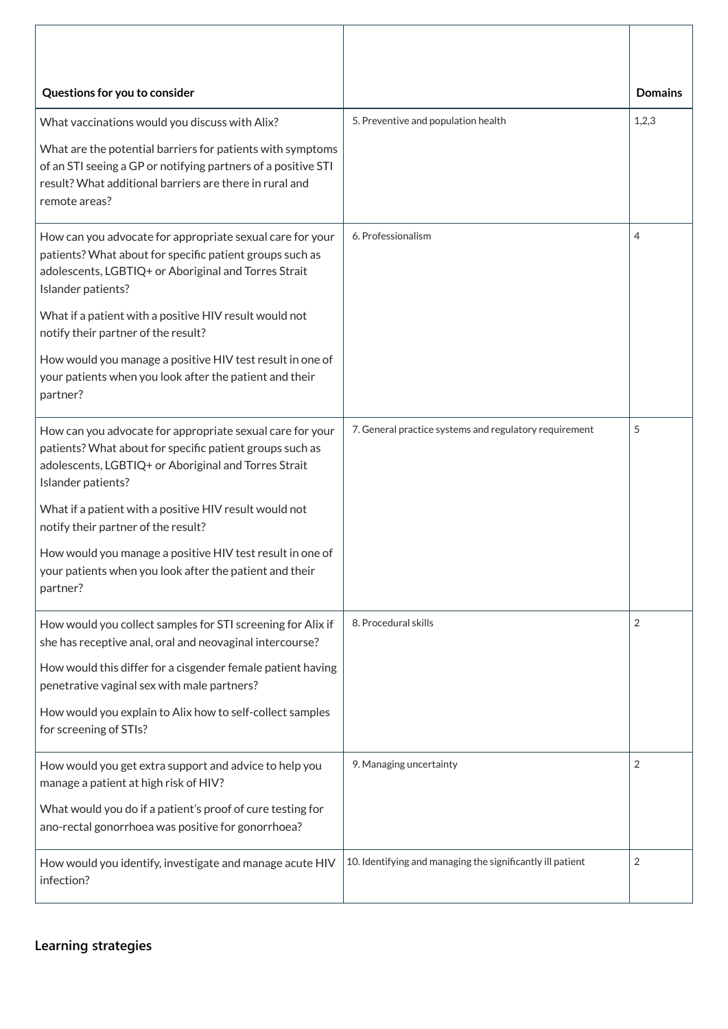| Questions for you to consider                                                                                                                                                                           |                                                            | <b>Domains</b> |
|---------------------------------------------------------------------------------------------------------------------------------------------------------------------------------------------------------|------------------------------------------------------------|----------------|
| What vaccinations would you discuss with Alix?                                                                                                                                                          | 5. Preventive and population health                        | 1,2,3          |
| What are the potential barriers for patients with symptoms<br>of an STI seeing a GP or notifying partners of a positive STI<br>result? What additional barriers are there in rural and<br>remote areas? |                                                            |                |
| How can you advocate for appropriate sexual care for your<br>patients? What about for specific patient groups such as<br>adolescents, LGBTIQ+ or Aboriginal and Torres Strait<br>Islander patients?     | 6. Professionalism                                         | 4              |
| What if a patient with a positive HIV result would not<br>notify their partner of the result?                                                                                                           |                                                            |                |
| How would you manage a positive HIV test result in one of<br>your patients when you look after the patient and their<br>partner?                                                                        |                                                            |                |
| How can you advocate for appropriate sexual care for your<br>patients? What about for specific patient groups such as<br>adolescents, LGBTIQ+ or Aboriginal and Torres Strait<br>Islander patients?     | 7. General practice systems and regulatory requirement     | 5              |
| What if a patient with a positive HIV result would not<br>notify their partner of the result?                                                                                                           |                                                            |                |
| How would you manage a positive HIV test result in one of<br>your patients when you look after the patient and their<br>partner?                                                                        |                                                            |                |
| How would you collect samples for STI screening for Alix if<br>she has receptive anal, oral and neovaginal intercourse?                                                                                 | 8. Procedural skills                                       | $\overline{2}$ |
| How would this differ for a cisgender female patient having<br>penetrative vaginal sex with male partners?                                                                                              |                                                            |                |
| How would you explain to Alix how to self-collect samples<br>for screening of STIs?                                                                                                                     |                                                            |                |
| How would you get extra support and advice to help you<br>manage a patient at high risk of HIV?                                                                                                         | 9. Managing uncertainty                                    | $\overline{2}$ |
| What would you do if a patient's proof of cure testing for<br>ano-rectal gonorrhoea was positive for gonorrhoea?                                                                                        |                                                            |                |
| How would you identify, investigate and manage acute HIV<br>infection?                                                                                                                                  | 10. Identifying and managing the significantly ill patient | $\overline{2}$ |

**[Learning strategies](javascript:void(0))**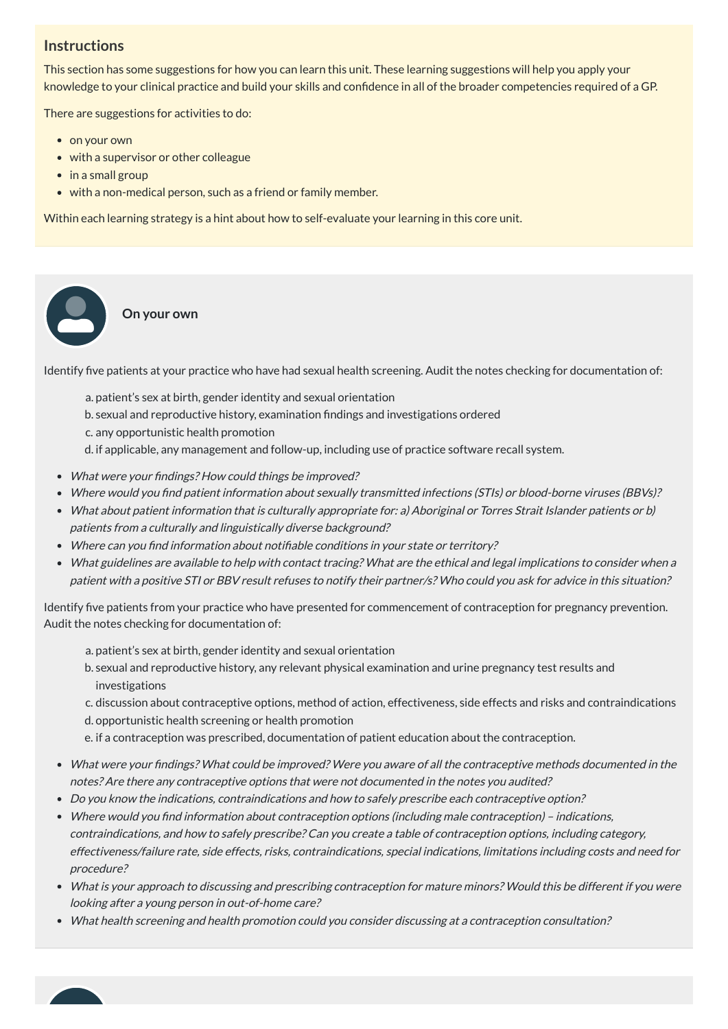# **Instructions**

This section has some suggestions for how you can learn this unit. These learning suggestions will help you apply your knowledge to your clinical practice and build your skills and confidence in all of the broader competencies required of a GP.

There are suggestions for activities to do:

• on your own

 $\bullet$  $\bullet$ 

- with a supervisor or other colleague
- in a small group
- with a non-medical person, such as a friend or family member.

Within each learning strategy is a hint about how to self-evaluate your learning in this core unit.

**On your own**

Identify five patients at your practice who have had sexual health screening. Audit the notes checking for documentation of:

- a. patient's sex at birth, gender identity and sexual orientation
- b. sexual and reproductive history, examination findings and investigations ordered
- c. any opportunistic health promotion
- d. if applicable, any management and follow-up, including use of practice software recall system.
- What were your findings? How could things be improved?
- Where would you find patient information about sexually transmitted infections (STIs) or blood-borne viruses (BBVs)?
- What about patient information that is culturally appropriate for: a) Aboriginal or Torres Strait Islander patients or b) patients from <sup>a</sup> culturally and linguistically diverse background?
- Where can you find information about notifiable conditions in your state or territory?
- What guidelines are available to help with contact tracing? What are the ethical and legal implications to consider when <sup>a</sup> patient with <sup>a</sup> positive STI or BBV result refuses to notify their partner/s? Who could you ask for advice in this situation?

Identify five patients from your practice who have presented for commencement of contraception for pregnancy prevention. Audit the notes checking for documentation of:

- a. patient's sex at birth, gender identity and sexual orientation
- b. sexual and reproductive history, any relevant physical examination and urine pregnancy test results and investigations
- c. discussion about contraceptive options, method of action, effectiveness, side effects and risks and contraindications
- d. opportunistic health screening or health promotion
- e. if a contraception was prescribed, documentation of patient education about the contraception.
- What were your findings? What could be improved? Were you aware of all the contraceptive methods documented in the
	- notes? Are there any contraceptive options that were not documented in the notes you audited?
- Do you know the indications, contraindications and how to safely prescribe each contraceptive option?
- Where would you find information about contraception options (including male contraception) indications, contraindications, and how to safely prescribe? Can you create <sup>a</sup> table of contraception options, including category, effectiveness/failure rate, side effects, risks, contraindications, special indications, limitations including costs and need for procedure?
- What is your approach to discussing and prescribing contraception for mature minors? Would this be different if you were looking after <sup>a</sup> young person in out-of-home care?
- What health screening and health promotion could you consider discussing at <sup>a</sup> contraception consultation?

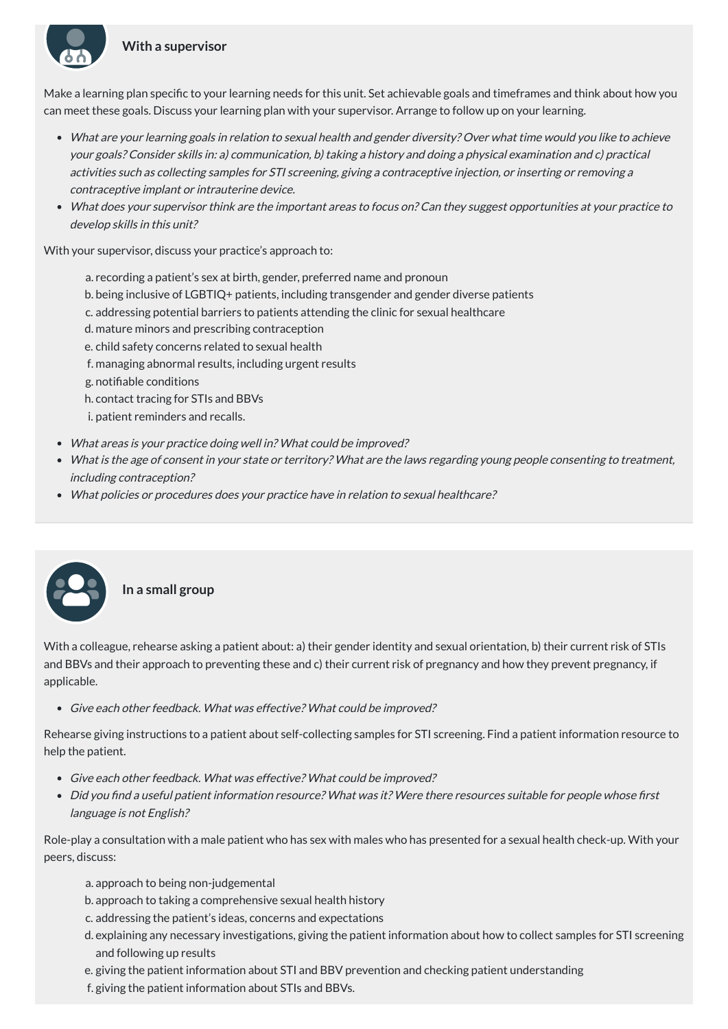### **With a supervisor**

Make a learning plan specific to your learning needs for this unit. Set achievable goals and timeframes and think about how you can meet these goals. Discuss your learning plan with your supervisor. Arrange to follow up on your learning.

- What are your learning goals in relation to sexual health and gender diversity? Over what time would you like to achieve your goals? Consider skills in: a) communication, b) taking <sup>a</sup> history and doing <sup>a</sup> physical examination and c) practical activities such as collecting samples for STI screening, giving <sup>a</sup> contraceptive injection, or inserting or removing <sup>a</sup> contraceptive implant or intrauterine device.
- What does your supervisor think are the important areas to focus on? Can they suggest opportunities at your practice to develop skills in this unit?

With your supervisor, discuss your practice's approach to:

- a. recording a patient's sex at birth, gender, preferred name and pronoun
- b. being inclusive of LGBTIQ+ patients, including transgender and gender diverse patients
- c. addressing potential barriers to patients attending the clinic for sexual healthcare
- d. mature minors and prescribing contraception
- e. child safety concerns related to sexual health
- f. managing abnormal results, including urgent results
- g. notifiable conditions
- h. contact tracing for STIs and BBVs
- i. patient reminders and recalls.
- What areas is your practice doing well in? What could be improved?
- What is the age of consent in your state or territory? What are the laws regarding young people consenting to treatment, including contraception?
- What policies or procedures does your practice have in relation to sexual healthcare?



#### **In a small group**

With a colleague, rehearse asking a patient about: a) their gender identity and sexual orientation, b) their current risk of STIs and BBVs and their approach to preventing these and c) their current risk of pregnancy and how they prevent pregnancy, if applicable.

• Give each other feedback. What was effective? What could be improved?

Rehearse giving instructions to a patient about self-collecting samples for STI screening. Find a patient information resource to help the patient.

- 
- Give each other feedback. What was effective? What could be improved?
- Did you find <sup>a</sup> useful patient information resource? What was it? Were there resources suitable for people whose first language is not English?

Role-play a consultation with a male patient who has sex with males who has presented for a sexual health check-up. With your peers, discuss:

- a. approach to being non-judgemental
- b. approach to taking a comprehensive sexual health history
- c. addressing the patient's ideas, concerns and expectations
- d. explaining any necessary investigations, giving the patient information about how to collect samples for STI screening and following up results
- e. giving the patient information about STI and BBV prevention and checking patient understanding f. giving the patient information about STIs and BBVs.

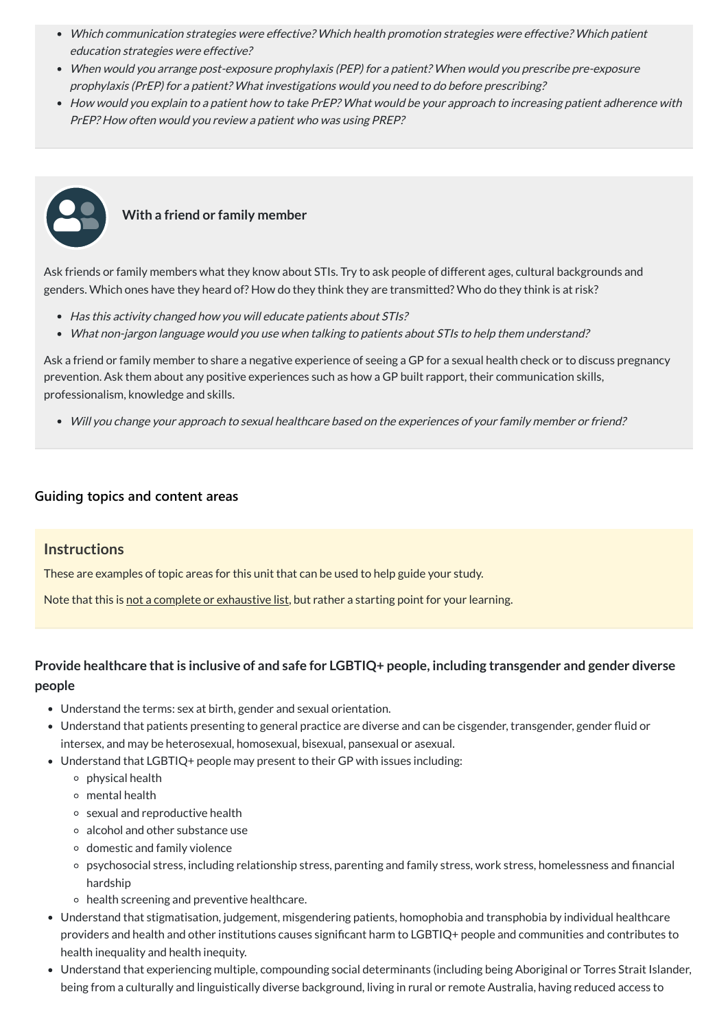- Which communication strategies were effective? Which health promotion strategies were effective? Which patient education strategies were effective?
- When would you arrange post-exposure prophylaxis (PEP) for <sup>a</sup> patient? When would you prescribe pre-exposure prophylaxis (PrEP) for <sup>a</sup> patient? What investigations would you need to do before prescribing?
- How would you explain to <sup>a</sup> patient how to take PrEP? What would be your approach to increasing patient adherence with PrEP? How often would you review <sup>a</sup> patient who was using PREP?



- Has this activity changed how you will educate patients about STIs?
- What non-jargon language would you use when talking to patients about STIs to help them understand?

# **With a friend or family member**

Ask friends or family members what they know about STIs. Try to ask people of different ages, cultural backgrounds and genders. Which ones have they heard of? How do they think they are transmitted? Who do they think is at risk?

Ask a friend or family member to share a negative experience of seeing a GP for a sexual health check or to discuss pregnancy prevention. Ask them about any positive experiences such as how a GP built rapport, their communication skills, professionalism, knowledge and skills.

Will you change your approach to sexual healthcare based on the experiences of your family member or friend?

### **[Guiding topics and content areas](javascript:void(0))**

### **Instructions**

These are examples of topic areas for this unit that can be used to help guide your study.

Note that this is not a complete or exhaustive list, but rather a starting point for your learning.

# **Provide healthcare thatis inclusive of and safe for LGBTIQ+ people, including transgender and gender diverse people**

- Understand the terms: sex at birth, gender and sexual orientation.
- Understand that patients presenting to general practice are diverse and can be cisgender, transgender, gender fluid or intersex, and may be heterosexual, homosexual, bisexual, pansexual or asexual.
- Understand that LGBTIQ+ people may present to their GP with issues including:
- - $\circ$  physical health
	- mental health
	- $\circ$  sexual and reproductive health
	- alcohol and other substance use
	- domestic and family violence
	- psychosocial stress, including relationship stress, parenting and family stress, work stress, homelessness and financial hardship
	- o health screening and preventive healthcare.
- Understand that stigmatisation, judgement, misgendering patients, homophobia and transphobia by individual healthcare providers and health and other institutions causes significant harm to LGBTIQ+ people and communities and contributes to health inequality and health inequity.
- Understand that experiencing multiple, compounding social determinants (including being Aboriginal or Torres Strait Islander, being from a culturally and linguistically diverse background, living in rural or remote Australia, having reduced access to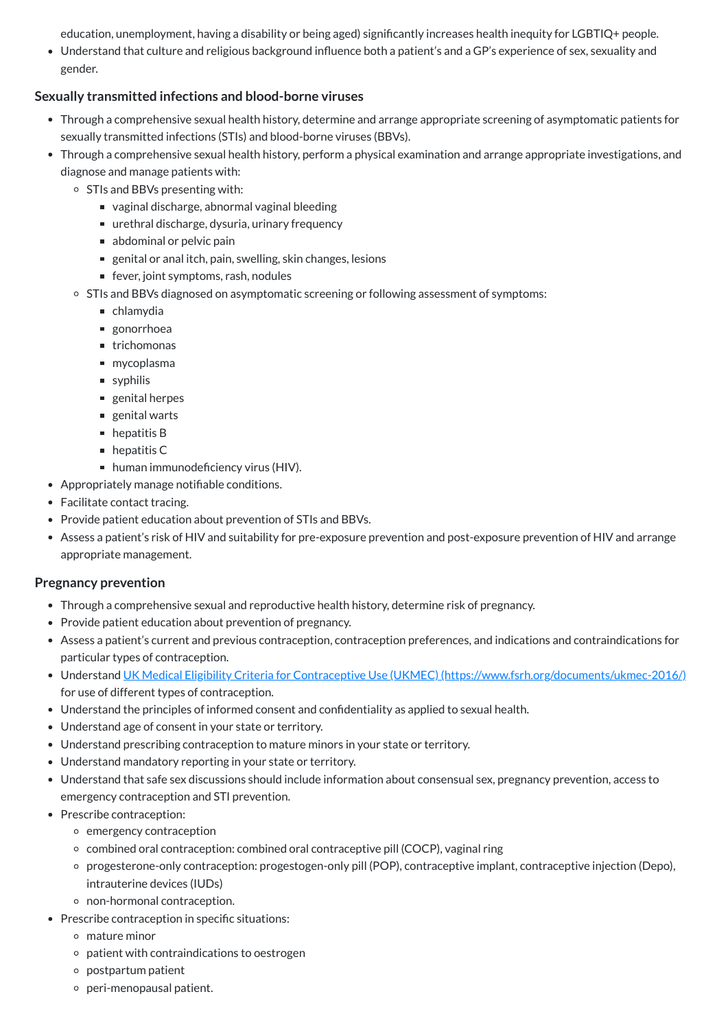education, unemployment, having a disability or being aged) significantly increases health inequity for LGBTIQ+ people.

Understand that culture and religious background influence both a patient's and a GP's experience of sex, sexuality and gender.

### **Sexually transmitted infections and blood-borne viruses**

- Through a comprehensive sexual health history, determine and arrange appropriate screening of asymptomatic patients for sexually transmitted infections (STIs) and blood-borne viruses (BBVs).
- Through a comprehensive sexual health history, perform a physical examination and arrange appropriate investigations, and diagnose and manage patients with:
	- $\circ$  STIs and BBVs presenting with:
		- vaginal discharge, abnormal vaginal bleeding
		- urethral discharge, dysuria, urinary frequency
		- abdominal or pelvic pain
		- genital or anal itch, pain, swelling, skin changes, lesions
		- fever, joint symptoms, rash, nodules
	- STIs and BBVs diagnosed on asymptomatic screening or following assessment of symptoms:
		- chlamydia
		- gonorrhoea
		- $\blacksquare$  trichomonas
		- mycoplasma
		- syphilis
		- $\blacksquare$  genital herpes
		- genital warts
		- $\blacksquare$  hepatitis B
		- $\blacksquare$  hepatitis C
		- human immunodeficiency virus (HIV).
- Appropriately manage notifiable conditions.
- Facilitate contact tracing.
- Provide patient education about prevention of STIs and BBVs.
- Assess a patient's risk of HIV and suitability for pre-exposure prevention and post-exposure prevention of HIV and arrange appropriate management.

### **Pregnancy prevention**

- Through a comprehensive sexual and reproductive health history, determine risk of pregnancy.
- Provide patient education about prevention of pregnancy.
- Assess a patient's current and previous contraception, contraception preferences, and indications and contraindications for particular types of contraception.
- Understand UK Medical Eligibility Criteria for Contraceptive Use (UKMEC) [\(https://www.fsrh.org/documents/ukmec-2016/\)](https://www.fsrh.org/documents/ukmec-2016/) for use of different types of contraception.
- Understand the principles of informed consent and confidentiality as applied to sexual health.
- Understand age of consent in your state or territory.
- Understand prescribing contraception to mature minors in your state or territory.
- Understand mandatory reporting in your state or territory.
- Understand that safe sex discussions should include information about consensual sex, pregnancy prevention, access to emergency contraception and STI prevention.
- Prescribe contraception:
	- o emergency contraception
	- combined oral contraception: combined oral contraceptive pill (COCP), vaginal ring
	- progesterone-only contraception: progestogen-only pill (POP), contraceptive implant, contraceptive injection (Depo), intrauterine devices (IUDs)
	- non-hormonal contraception.
- Prescribe contraception in specific situations:
	- mature minor
	- patient with contraindications to oestrogen
	- $\circ$  postpartum patient
	- peri-menopausal patient.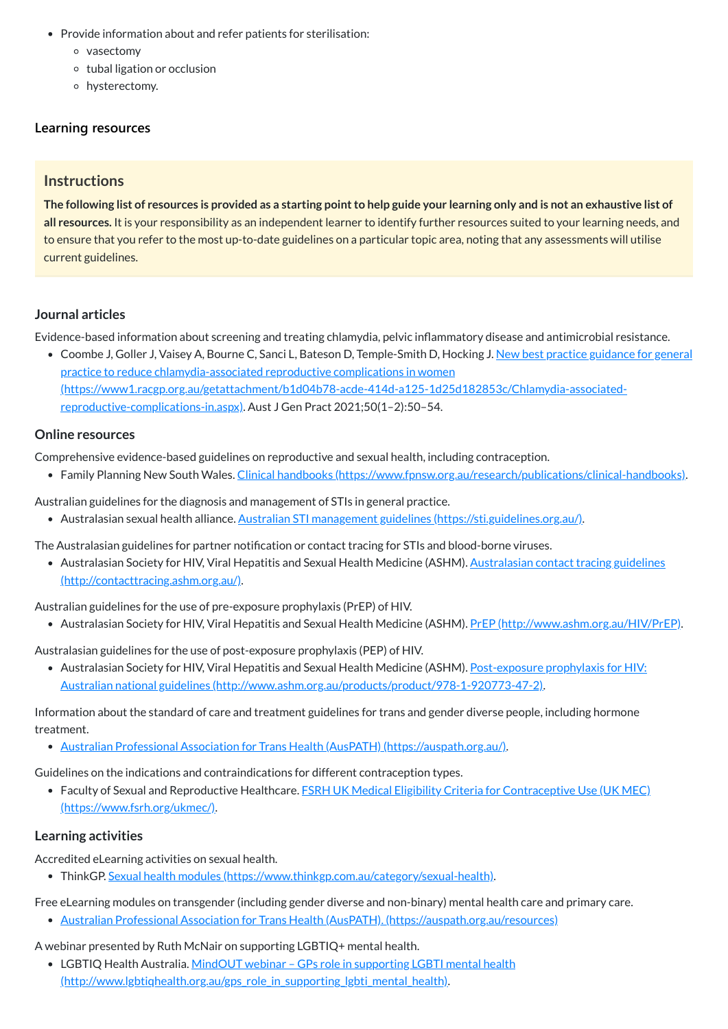- Provide information about and refer patients for sterilisation:
	- vasectomy
	- tubal ligation or occlusion
	- hysterectomy.

### **[Learning resources](javascript:void(0))**

# **Instructions**

The following list of resources is provided as a starting point to help guide your learning only and is not an exhaustive list of **all resources.** It is your responsibility as an independent learner to identify further resources suited to your learning needs, and to ensure that you refer to the most up-to-date guidelines on a particular topic area, noting that any assessments will utilise current guidelines.

• Coombe J, Goller J, Vaisey A, Bourne C, Sanci L, Bateson D, Temple-Smith D, Hocking J. New best practice guidance for general practice to reduce chlamydia-associated reproductive complications in women [\(https://www1.racgp.org.au/getattachment/b1d04b78-acde-414d-a125-1d25d182853c/Chlamydia-associated](https://www1.racgp.org.au/getattachment/b1d04b78-acde-414d-a125-1d25d182853c/Chlamydia-associated-reproductive-complications-in.aspx)reproductive-complications-in.aspx). Aust J Gen Pract 2021;50(1–2):50–54.

### **Journal articles**

Evidence-based information about screening and treating chlamydia, pelvic inflammatory disease and antimicrobial resistance.

• Australasian Society for HIV, Viral Hepatitis and Sexual Health Medicine (ASHM). <u>Australasian contact tracing guidelines</u> [\(http://contacttracing.ashm.org.au/\).](http://contacttracing.ashm.org.au/)

### **Online resources**

• Australasian Society for HIV, Viral Hepatitis and Sexual Health Medicine (ASHM). Post-exposure prophylaxis for HIV: Australian national guidelines [\(http://www.ashm.org.au/products/product/978-1-920773-47-2\).](http://www.ashm.org.au/products/product/978-1-920773-47-2)

Comprehensive evidence-based guidelines on reproductive and sexual health, including contraception.

• Family Planning New South Wales. Clinical handbooks [\(https://www.fpnsw.org.au/research/publications/clinical-handbooks\).](https://www.fpnsw.org.au/research/publications/clinical-handbooks)

• Faculty of Sexual and Reproductive Healthcare. **FSRH UK Medical Eligibility Criteria for Contraceptive Use (UK MEC)** [\(https://www.fsrh.org/ukmec/\).](https://www.fsrh.org/ukmec/)

Australian guidelines for the diagnosis and management of STIs in general practice.

• Australasian sexual health alliance. Australian STI management guidelines [\(https://sti.guidelines.org.au/\)](https://sti.guidelines.org.au/).

The Australasian guidelines for partner notification or contact tracing for STIs and blood-borne viruses.

Australian guidelines for the use of pre-exposure prophylaxis (PrEP) of HIV.

• Australasian Society for HIV, Viral Hepatitis and Sexual Health Medicine (ASHM). <u>PrEP [\(http://www.ashm.org.au/HIV/PrEP\)](http://www.ashm.org.au/HIV/PrEP)</u>.

Australasian guidelines for the use of post-exposure prophylaxis (PEP) of HIV.

Information about the standard of care and treatment guidelines for trans and gender diverse people, including hormone treatment.

Australian Professional Association for Trans Health (AusPATH) [\(https://auspath.org.au/\).](https://auspath.org.au/)

Guidelines on the indications and contraindications for different contraception types.

#### **Learning activities**

Accredited eLearning activities on sexual health.

• ThinkGP. Sexual health modules [\(https://www.thinkgp.com.au/category/sexual-health\).](https://www.thinkgp.com.au/category/sexual-health)

Free eLearning modules on transgender (including gender diverse and non-binary) mental health care and primary care.

Australian Professional Association for Trans Health (AusPATH). [\(https://auspath.org.au/resources\)](https://auspath.org.au/resources)

A webinar presented by Ruth McNair on supporting LGBTIQ+ mental health.

• LGBTIQ Health Australia. MindOUT webinar - GPs role in supporting LGBTI mental health

[\(http://www.lgbtiqhealth.org.au/gps\\_role\\_in\\_supporting\\_lgbti\\_mental\\_health\).](http://www.lgbtiqhealth.org.au/gps_role_in_supporting_lgbti_mental_health)